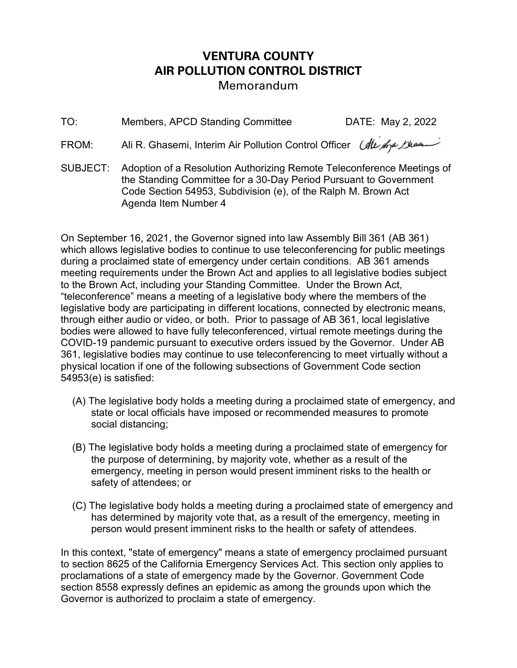## VENTURA COUNTY AIR POLLUTION CONTROL DISTRICT Memorandum

TO: Members, APCD Standing Committee DATE: May 2, 2022

FROM: Ali R. Ghasemi, Interim Air Pollution Control Officer *(All for Bhaa*)

SUBJECT: Adoption of a Resolution Authorizing Remote Teleconference Meetings of the Standing Committee for a 30-Day Period Pursuant to Government Code Section 54953, Subdivision (e), of the Ralph M. Brown Act Agenda Item Number 4

On September 16, 2021, the Governor signed into law Assembly Bill 361 (AB 361) which allows legislative bodies to continue to use teleconferencing for public meetings during a proclaimed state of emergency under certain conditions. AB 361 amends meeting requirements under the Brown Act and applies to all legislative bodies subject to the Brown Act, including your Standing Committee. Under the Brown Act, "teleconference" means a meeting of a legislative body where the members of the legislative body are participating in different locations, connected by electronic means, through either audio or video, or both. Prior to passage of AB 361, local legislative bodies were allowed to have fully teleconferenced, virtual remote meetings during the COVID-19 pandemic pursuant to executive orders issued by the Governor. Under AB 361, legislative bodies may continue to use teleconferencing to meet virtually without a physical location if one of the following subsections of Government Code section 54953(e) is satisfied:

- (A) The legislative body holds a meeting during a proclaimed state of emergency, and state or local officials have imposed or recommended measures to promote social distancing;
- (B) The legislative body holds a meeting during a proclaimed state of emergency for the purpose of determining, by majority vote, whether as a result of the emergency, meeting in person would present imminent risks to the health or safety of attendees; or
- (C) The legislative body holds a meeting during a proclaimed state of emergency and has determined by majority vote that, as a result of the emergency, meeting in person would present imminent risks to the health or safety of attendees.

In this context, "state of emergency" means a state of emergency proclaimed pursuant to section 8625 of the California Emergency Services Act. This section only applies to proclamations of a state of emergency made by the Governor. Government Code section 8558 expressly defines an epidemic as among the grounds upon which the Governor is authorized to proclaim a state of emergency.